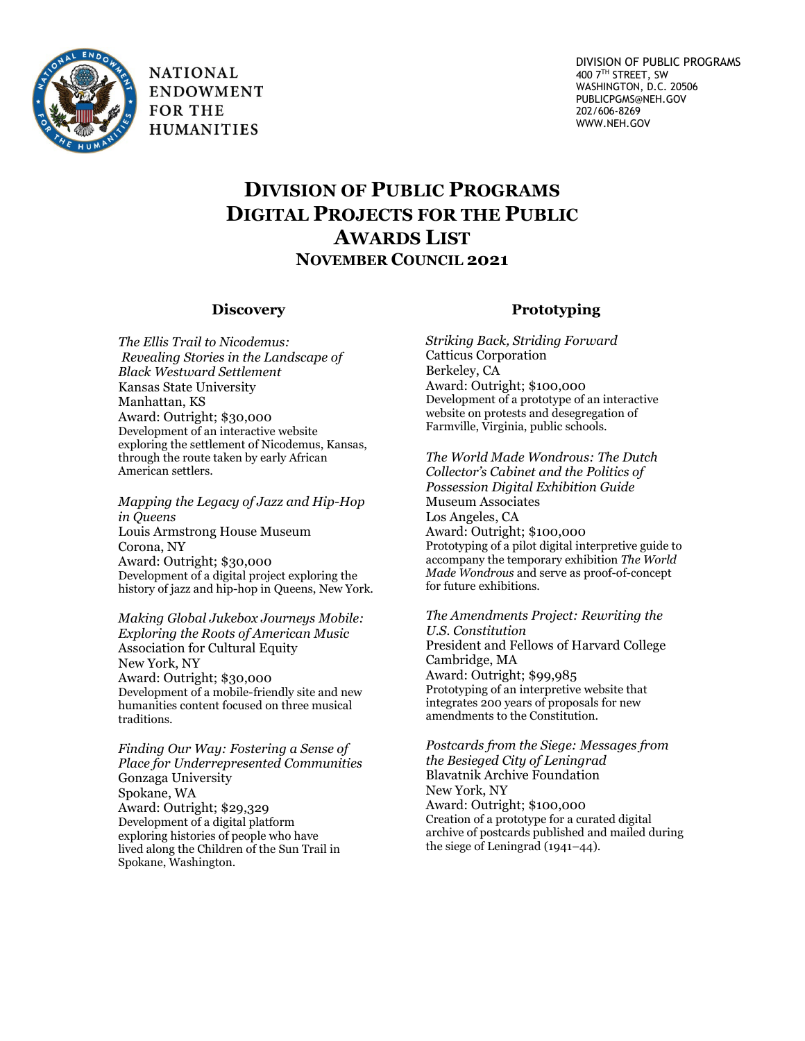

**NATIONAL ENDOWMENT FOR THE HUMANITIES** 

## **DIVISION OF PUBLIC PROGRAMS DIGITAL PROJECTS FOR THE PUBLIC AWARDS LIST NOVEMBER COUNCIL 2021**

## **Discovery**

*The Ellis Trail to Nicodemus: Revealing Stories in the Landscape of Black Westward Settlement* Kansas State University Manhattan, KS Award: Outright; \$30,000 Development of an interactive website exploring the settlement of Nicodemus, Kansas, through the route taken by early African American settlers.

*Mapping the Legacy of Jazz and Hip-Hop in Queens* Louis Armstrong House Museum Corona, NY Award: Outright; \$30,000 Development of a digital project exploring the history of jazz and hip-hop in Queens, New York.

*Making Global Jukebox Journeys Mobile: Exploring the Roots of American Music* Association for Cultural Equity New York, NY Award: Outright; \$30,000 Development of a mobile-friendly site and new humanities content focused on three musical traditions.

*Finding Our Way: Fostering a Sense of Place for Underrepresented Communities* Gonzaga University Spokane, WA Award: Outright; \$29,329 Development of a digital platform exploring histories of people who have lived along the Children of the Sun Trail in Spokane, Washington.

## **Prototyping**

*Striking Back, Striding Forward* Catticus Corporation Berkeley, CA Award: Outright; \$100,000 Development of a prototype of an interactive website on protests and desegregation of Farmville, Virginia, public schools.

*The World Made Wondrous: The Dutch Collector's Cabinet and the Politics of Possession Digital Exhibition Guide* Museum Associates Los Angeles, CA Award: Outright; \$100,000 Prototyping of a pilot digital interpretive guide to accompany the temporary exhibition *The World Made Wondrous* and serve as proof-of-concept for future exhibitions.

*The Amendments Project: Rewriting the U.S. Constitution* President and Fellows of Harvard College Cambridge, MA Award: Outright; \$99,985 Prototyping of an interpretive website that integrates 200 years of proposals for new amendments to the Constitution.

*Postcards from the Siege: Messages from the Besieged City of Leningrad* Blavatnik Archive Foundation New York, NY Award: Outright; \$100,000 Creation of a prototype for a curated digital archive of postcards published and mailed during the siege of Leningrad (1941–44).